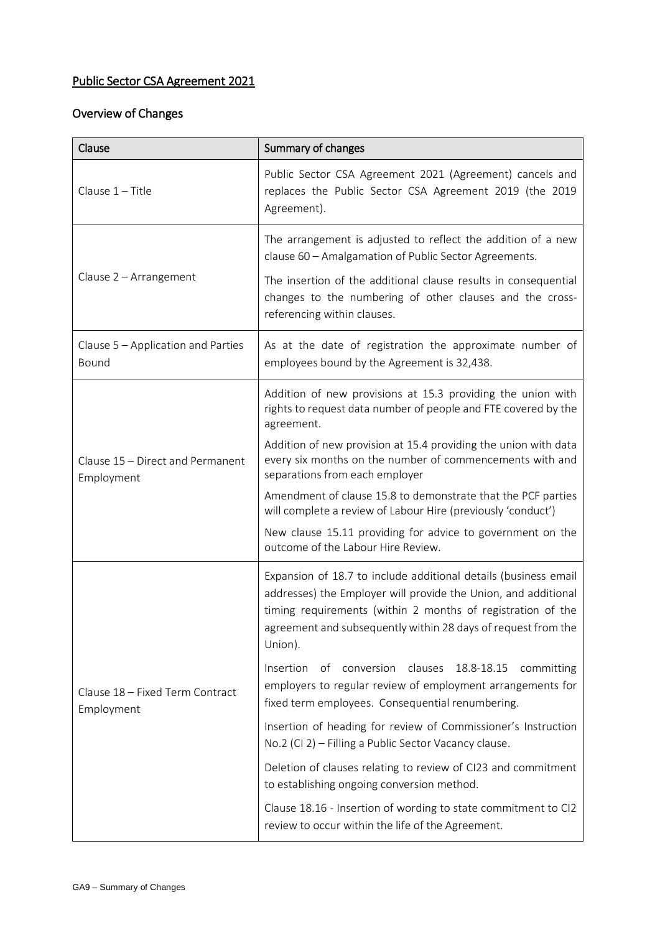## Public Sector CSA Agreement 2021

## Overview of Changes

| Clause                                         | Summary of changes                                                                                                                                                                                                                                                                  |
|------------------------------------------------|-------------------------------------------------------------------------------------------------------------------------------------------------------------------------------------------------------------------------------------------------------------------------------------|
| Clause 1-Title                                 | Public Sector CSA Agreement 2021 (Agreement) cancels and<br>replaces the Public Sector CSA Agreement 2019 (the 2019<br>Agreement).                                                                                                                                                  |
| Clause 2 - Arrangement                         | The arrangement is adjusted to reflect the addition of a new<br>clause 60 - Amalgamation of Public Sector Agreements.<br>The insertion of the additional clause results in consequential<br>changes to the numbering of other clauses and the cross-<br>referencing within clauses. |
| Clause 5 - Application and Parties<br>Bound    | As at the date of registration the approximate number of<br>employees bound by the Agreement is 32,438.                                                                                                                                                                             |
| Clause 15 - Direct and Permanent<br>Employment | Addition of new provisions at 15.3 providing the union with<br>rights to request data number of people and FTE covered by the<br>agreement.                                                                                                                                         |
|                                                | Addition of new provision at 15.4 providing the union with data<br>every six months on the number of commencements with and<br>separations from each employer                                                                                                                       |
|                                                | Amendment of clause 15.8 to demonstrate that the PCF parties<br>will complete a review of Labour Hire (previously 'conduct')                                                                                                                                                        |
|                                                | New clause 15.11 providing for advice to government on the<br>outcome of the Labour Hire Review.                                                                                                                                                                                    |
| Clause 18 - Fixed Term Contract<br>Employment  | Expansion of 18.7 to include additional details (business email<br>addresses) the Employer will provide the Union, and additional<br>timing requirements (within 2 months of registration of the<br>agreement and subsequently within 28 days of request from the<br>Union).        |
|                                                | of conversion clauses 18.8-18.15<br>Insertion<br>committing<br>employers to regular review of employment arrangements for<br>fixed term employees. Consequential renumbering.                                                                                                       |
|                                                | Insertion of heading for review of Commissioner's Instruction<br>No.2 (CI 2) - Filling a Public Sector Vacancy clause.                                                                                                                                                              |
|                                                | Deletion of clauses relating to review of CI23 and commitment<br>to establishing ongoing conversion method.                                                                                                                                                                         |
|                                                | Clause 18.16 - Insertion of wording to state commitment to CI2<br>review to occur within the life of the Agreement.                                                                                                                                                                 |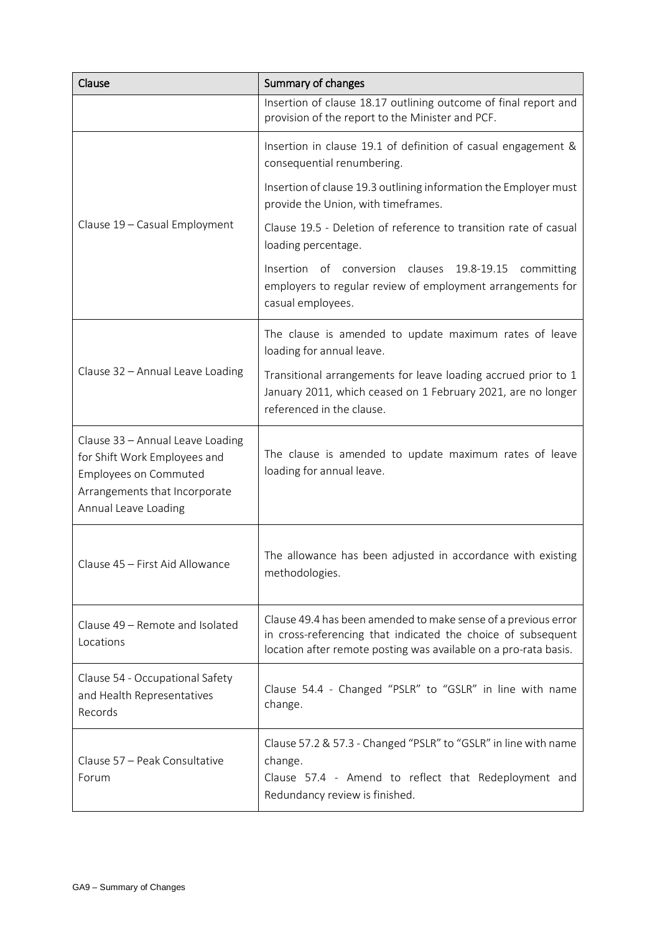| Clause                                                                                                                                                    | Summary of changes                                                                                                                                                                                 |
|-----------------------------------------------------------------------------------------------------------------------------------------------------------|----------------------------------------------------------------------------------------------------------------------------------------------------------------------------------------------------|
|                                                                                                                                                           | Insertion of clause 18.17 outlining outcome of final report and<br>provision of the report to the Minister and PCF.                                                                                |
| Clause 19 - Casual Employment                                                                                                                             | Insertion in clause 19.1 of definition of casual engagement &<br>consequential renumbering.                                                                                                        |
|                                                                                                                                                           | Insertion of clause 19.3 outlining information the Employer must<br>provide the Union, with timeframes.                                                                                            |
|                                                                                                                                                           | Clause 19.5 - Deletion of reference to transition rate of casual<br>loading percentage.                                                                                                            |
|                                                                                                                                                           | Insertion of conversion clauses<br>19.8-19.15 committing<br>employers to regular review of employment arrangements for<br>casual employees.                                                        |
| Clause 32 - Annual Leave Loading                                                                                                                          | The clause is amended to update maximum rates of leave<br>loading for annual leave.                                                                                                                |
|                                                                                                                                                           | Transitional arrangements for leave loading accrued prior to 1<br>January 2011, which ceased on 1 February 2021, are no longer<br>referenced in the clause.                                        |
| Clause 33 - Annual Leave Loading<br>for Shift Work Employees and<br><b>Employees on Commuted</b><br>Arrangements that Incorporate<br>Annual Leave Loading | The clause is amended to update maximum rates of leave<br>loading for annual leave.                                                                                                                |
| Clause 45 - First Aid Allowance                                                                                                                           | The allowance has been adjusted in accordance with existing<br>methodologies.                                                                                                                      |
| Clause 49 - Remote and Isolated<br>Locations                                                                                                              | Clause 49.4 has been amended to make sense of a previous error<br>in cross-referencing that indicated the choice of subsequent<br>location after remote posting was available on a pro-rata basis. |
| Clause 54 - Occupational Safety<br>and Health Representatives<br>Records                                                                                  | Clause 54.4 - Changed "PSLR" to "GSLR" in line with name<br>change.                                                                                                                                |
| Clause 57 - Peak Consultative<br>Forum                                                                                                                    | Clause 57.2 & 57.3 - Changed "PSLR" to "GSLR" in line with name<br>change.<br>Clause 57.4 - Amend to reflect that Redeployment and<br>Redundancy review is finished.                               |